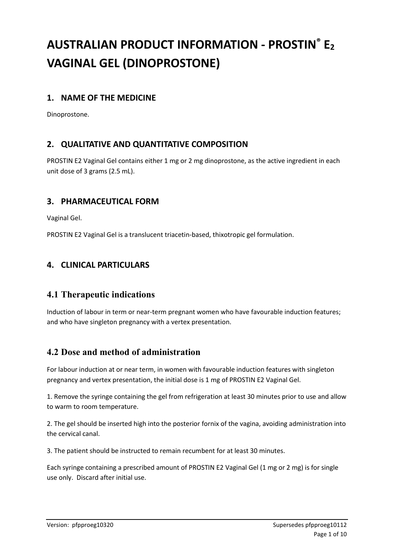# **AUSTRALIAN PRODUCT INFORMATION - PROSTIN® E<sup>2</sup> VAGINAL GEL (DINOPROSTONE)**

### **1. NAME OF THE MEDICINE**

Dinoprostone.

### **2. QUALITATIVE AND QUANTITATIVE COMPOSITION**

PROSTIN E2 Vaginal Gel contains either 1 mg or 2 mg dinoprostone, as the active ingredient in each unit dose of 3 grams (2.5 mL).

### **3. PHARMACEUTICAL FORM**

Vaginal Gel.

PROSTIN E2 Vaginal Gel is a translucent triacetin-based, thixotropic gel formulation.

### **4. CLINICAL PARTICULARS**

### **4.1 Therapeutic indications**

Induction of labour in term or near-term pregnant women who have favourable induction features; and who have singleton pregnancy with a vertex presentation.

### **4.2 Dose and method of administration**

For labour induction at or near term, in women with favourable induction features with singleton pregnancy and vertex presentation, the initial dose is 1 mg of PROSTIN E2 Vaginal Gel.

1. Remove the syringe containing the gel from refrigeration at least 30 minutes prior to use and allow to warm to room temperature.

2. The gel should be inserted high into the posterior fornix of the vagina, avoiding administration into the cervical canal.

3. The patient should be instructed to remain recumbent for at least 30 minutes.

Each syringe containing a prescribed amount of PROSTIN E2 Vaginal Gel (1 mg or 2 mg) is for single use only. Discard after initial use.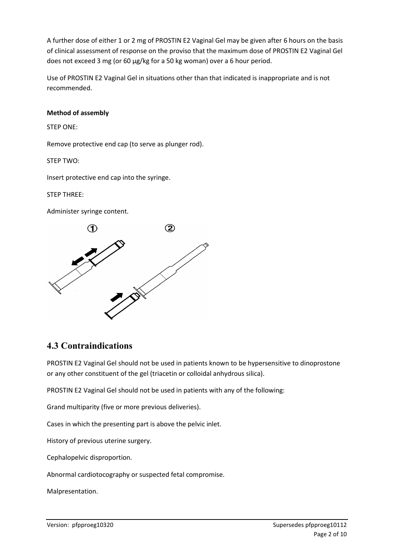A further dose of either 1 or 2 mg of PROSTIN E2 Vaginal Gel may be given after 6 hours on the basis of clinical assessment of response on the proviso that the maximum dose of PROSTIN E2 Vaginal Gel does not exceed 3 mg (or 60 μg/kg for a 50 kg woman) over a 6 hour period.

Use of PROSTIN E2 Vaginal Gel in situations other than that indicated is inappropriate and is not recommended.

#### **Method of assembly**

STEP ONE:

Remove protective end cap (to serve as plunger rod).

STEP TWO:

Insert protective end cap into the syringe.

STEP THREE:

Administer syringe content.



# **4.3 Contraindications**

PROSTIN E2 Vaginal Gel should not be used in patients known to be hypersensitive to dinoprostone or any other constituent of the gel (triacetin or colloidal anhydrous silica).

PROSTIN E2 Vaginal Gel should not be used in patients with any of the following:

Grand multiparity (five or more previous deliveries).

Cases in which the presenting part is above the pelvic inlet.

History of previous uterine surgery.

Cephalopelvic disproportion.

Abnormal cardiotocography or suspected fetal compromise.

Malpresentation.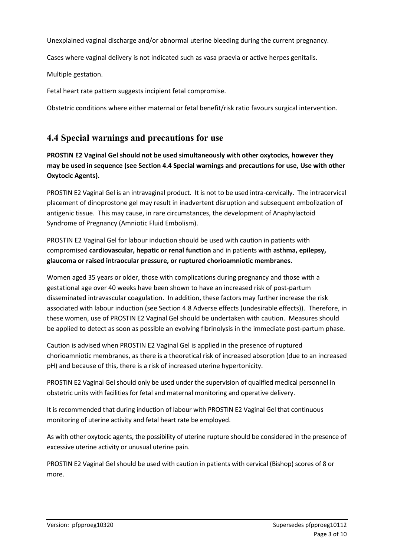Unexplained vaginal discharge and/or abnormal uterine bleeding during the current pregnancy.

Cases where vaginal delivery is not indicated such as vasa praevia or active herpes genitalis.

Multiple gestation.

Fetal heart rate pattern suggests incipient fetal compromise.

Obstetric conditions where either maternal or fetal benefit/risk ratio favours surgical intervention.

# **4.4 Special warnings and precautions for use**

**PROSTIN E2 Vaginal Gel should not be used simultaneously with other oxytocics, however they may be used in sequence (see Section 4.4 Special warnings and precautions for use, Use with other Oxytocic Agents).**

PROSTIN E2 Vaginal Gel is an intravaginal product. It is not to be used intra-cervically. The intracervical placement of dinoprostone gel may result in inadvertent disruption and subsequent embolization of antigenic tissue. This may cause, in rare circumstances, the development of Anaphylactoid Syndrome of Pregnancy (Amniotic Fluid Embolism).

PROSTIN E2 Vaginal Gel for labour induction should be used with caution in patients with compromised **cardiovascular, hepatic or renal function** and in patients with **asthma, epilepsy, glaucoma or raised intraocular pressure, or ruptured chorioamniotic membranes**.

Women aged 35 years or older, those with complications during pregnancy and those with a gestational age over 40 weeks have been shown to have an increased risk of post-partum disseminated intravascular coagulation. In addition, these factors may further increase the risk associated with labour induction (see Section 4.8 Adverse effects (undesirable effects)). Therefore, in these women, use of PROSTIN E2 Vaginal Gel should be undertaken with caution. Measures should be applied to detect as soon as possible an evolving fibrinolysis in the immediate post-partum phase.

Caution is advised when PROSTIN E2 Vaginal Gel is applied in the presence of ruptured chorioamniotic membranes, as there is a theoretical risk of increased absorption (due to an increased pH) and because of this, there is a risk of increased uterine hypertonicity.

PROSTIN E2 Vaginal Gel should only be used under the supervision of qualified medical personnel in obstetric units with facilities for fetal and maternal monitoring and operative delivery.

It is recommended that during induction of labour with PROSTIN E2 Vaginal Gel that continuous monitoring of uterine activity and fetal heart rate be employed.

As with other oxytocic agents, the possibility of uterine rupture should be considered in the presence of excessive uterine activity or unusual uterine pain.

PROSTIN E2 Vaginal Gel should be used with caution in patients with cervical (Bishop) scores of 8 or more.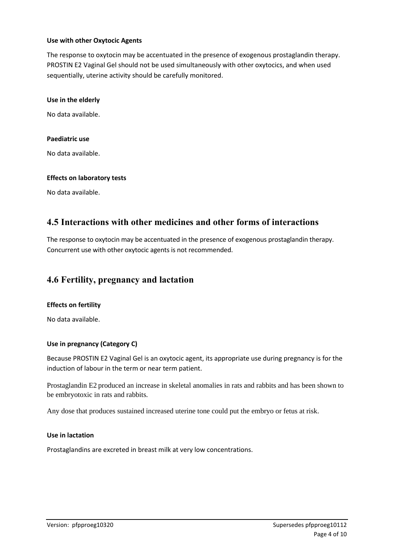#### **Use with other Oxytocic Agents**

The response to oxytocin may be accentuated in the presence of exogenous prostaglandin therapy. PROSTIN E2 Vaginal Gel should not be used simultaneously with other oxytocics, and when used sequentially, uterine activity should be carefully monitored.

#### **Use in the elderly**

No data available.

#### **Paediatric use**

No data available.

#### **Effects on laboratory tests**

No data available.

### **4.5 Interactions with other medicines and other forms of interactions**

The response to oxytocin may be accentuated in the presence of exogenous prostaglandin therapy. Concurrent use with other oxytocic agents is not recommended.

### **4.6 Fertility, pregnancy and lactation**

#### **Effects on fertility**

No data available.

#### **Use in pregnancy (Category C)**

Because PROSTIN E2 Vaginal Gel is an oxytocic agent, its appropriate use during pregnancy is for the induction of labour in the term or near term patient.

Prostaglandin E2 produced an increase in skeletal anomalies in rats and rabbits and has been shown to be embryotoxic in rats and rabbits.

Any dose that produces sustained increased uterine tone could put the embryo or fetus at risk.

#### **Use in lactation**

Prostaglandins are excreted in breast milk at very low concentrations.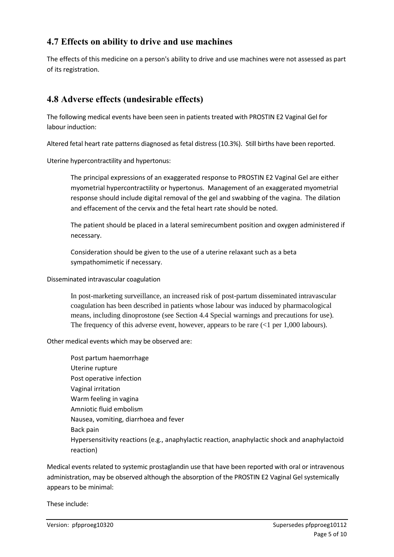# **4.7 Effects on ability to drive and use machines**

The effects of this medicine on a person's ability to drive and use machines were not assessed as part of its registration.

# **4.8 Adverse effects (undesirable effects)**

The following medical events have been seen in patients treated with PROSTIN E2 Vaginal Gel for labour induction:

Altered fetal heart rate patterns diagnosed as fetal distress (10.3%). Still births have been reported.

Uterine hypercontractility and hypertonus:

The principal expressions of an exaggerated response to PROSTIN E2 Vaginal Gel are either myometrial hypercontractility or hypertonus. Management of an exaggerated myometrial response should include digital removal of the gel and swabbing of the vagina. The dilation and effacement of the cervix and the fetal heart rate should be noted.

The patient should be placed in a lateral semirecumbent position and oxygen administered if necessary.

Consideration should be given to the use of a uterine relaxant such as a beta sympathomimetic if necessary.

Disseminated intravascular coagulation

In post-marketing surveillance, an increased risk of post-partum disseminated intravascular coagulation has been described in patients whose labour was induced by pharmacological means, including dinoprostone (see Section 4.4 Special warnings and precautions for use). The frequency of this adverse event, however, appears to be rare  $(1$  per 1,000 labours).

Other medical events which may be observed are:

Post partum haemorrhage Uterine rupture Post operative infection Vaginal irritation Warm feeling in vagina Amniotic fluid embolism Nausea, vomiting, diarrhoea and fever Back pain Hypersensitivity reactions (e.g., anaphylactic reaction, anaphylactic shock and anaphylactoid reaction)

Medical events related to systemic prostaglandin use that have been reported with oral or intravenous administration, may be observed although the absorption of the PROSTIN E2 Vaginal Gel systemically appears to be minimal:

These include: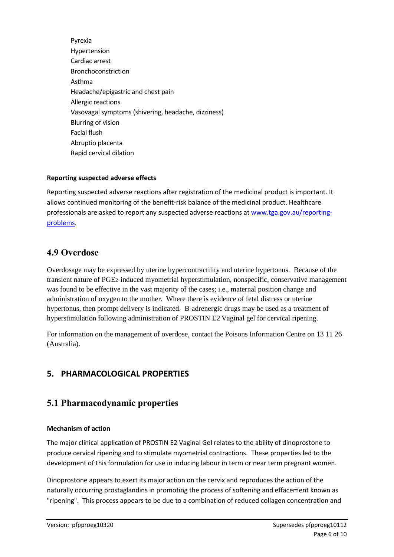Pyrexia Hypertension Cardiac arrest Bronchoconstriction Asthma Headache/epigastric and chest pain Allergic reactions Vasovagal symptoms (shivering, headache, dizziness) Blurring of vision Facial flush Abruptio placenta Rapid cervical dilation

#### **Reporting suspected adverse effects**

Reporting suspected adverse reactions after registration of the medicinal product is important. It allows continued monitoring of the benefit-risk balance of the medicinal product. Healthcare professionals are asked to report any suspected adverse reactions at [www.tga.gov.au/reporting](http://www.tga.gov.au/reporting-problems)[problems.](http://www.tga.gov.au/reporting-problems)

### **4.9 Overdose**

Overdosage may be expressed by uterine hypercontractility and uterine hypertonus. Because of the transient nature of PGE2-induced myometrial hyperstimulation, nonspecific, conservative management was found to be effective in the vast majority of the cases; i.e., maternal position change and administration of oxygen to the mother. Where there is evidence of fetal distress or uterine hypertonus, then prompt delivery is indicated. B-adrenergic drugs may be used as a treatment of hyperstimulation following administration of PROSTIN E2 Vaginal gel for cervical ripening.

For information on the management of overdose, contact the Poisons Information Centre on 13 11 26 (Australia).

### **5. PHARMACOLOGICAL PROPERTIES**

### **5.1 Pharmacodynamic properties**

#### **Mechanism of action**

The major clinical application of PROSTIN E2 Vaginal Gel relates to the ability of dinoprostone to produce cervical ripening and to stimulate myometrial contractions. These properties led to the development of this formulation for use in inducing labour in term or near term pregnant women.

Dinoprostone appears to exert its major action on the cervix and reproduces the action of the naturally occurring prostaglandins in promoting the process of softening and effacement known as "ripening". This process appears to be due to a combination of reduced collagen concentration and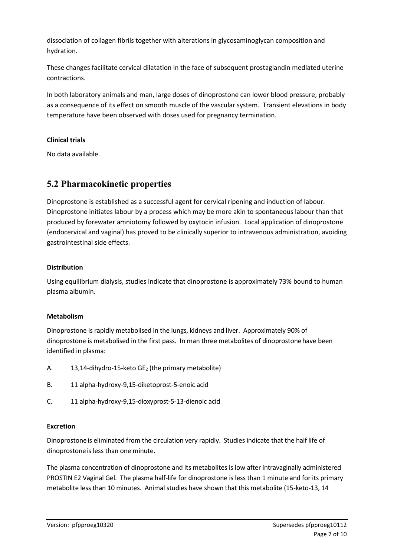dissociation of collagen fibrils together with alterations in glycosaminoglycan composition and hydration.

These changes facilitate cervical dilatation in the face of subsequent prostaglandin mediated uterine contractions.

In both laboratory animals and man, large doses of dinoprostone can lower blood pressure, probably as a consequence of its effect on smooth muscle of the vascular system. Transient elevations in body temperature have been observed with doses used for pregnancy termination.

#### **Clinical trials**

No data available.

# **5.2 Pharmacokinetic properties**

Dinoprostone is established as a successful agent for cervical ripening and induction of labour. Dinoprostone initiates labour by a process which may be more akin to spontaneous labour than that produced by forewater amniotomy followed by oxytocin infusion. Local application of dinoprostone (endocervical and vaginal) has proved to be clinically superior to intravenous administration, avoiding gastrointestinal side effects.

#### **Distribution**

Using equilibrium dialysis, studies indicate that dinoprostone is approximately 73% bound to human plasma albumin.

#### **Metabolism**

Dinoprostone is rapidly metabolised in the lungs, kidneys and liver. Approximately 90% of dinoprostone is metabolised in the first pass. In man three metabolites of dinoprostone have been identified in plasma:

- A.  $13,14$ -dihydro-15-keto GE<sub>2</sub> (the primary metabolite)
- B. 11 alpha-hydroxy-9,15-diketoprost-5-enoic acid
- C. 11 alpha-hydroxy-9,15-dioxyprost-5-13-dienoic acid

#### **Excretion**

Dinoprostoneis eliminated from the circulation very rapidly. Studies indicate that the half life of dinoprostone is less than one minute.

The plasma concentration of dinoprostone and its metabolites is low after intravaginally administered PROSTIN E2 Vaginal Gel. The plasma half-life for dinoprostone is less than 1 minute and for its primary metabolite less than 10 minutes. Animal studies have shown that this metabolite (15-keto-13, 14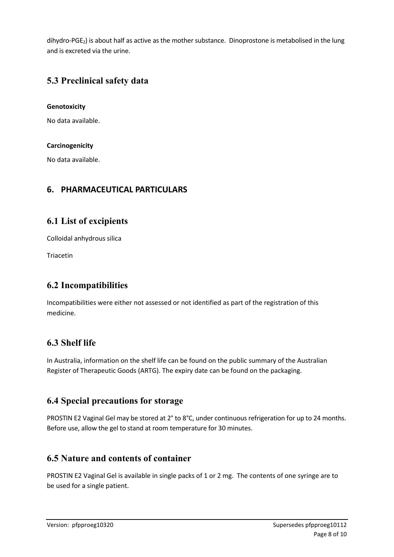dihydro-PGE2) is about half as active as the mother substance. Dinoprostone is metabolised in the lung and is excreted via the urine.

# **5.3 Preclinical safety data**

#### **Genotoxicity**

No data available.

#### **Carcinogenicity**

No data available.

### **6. PHARMACEUTICAL PARTICULARS**

### **6.1 List of excipients**

Colloidal anhydrous silica

Triacetin

# **6.2 Incompatibilities**

Incompatibilities were either not assessed or not identified as part of the registration of this medicine.

# **6.3 Shelf life**

In Australia, information on the shelf life can be found on the public summary of the Australian Register of Therapeutic Goods (ARTG). The expiry date can be found on the packaging.

### **6.4 Special precautions for storage**

PROSTIN E2 Vaginal Gel may be stored at 2° to 8°C, under continuous refrigeration for up to 24 months. Before use, allow the gel to stand at room temperature for 30 minutes.

# **6.5 Nature and contents of container**

PROSTIN E2 Vaginal Gel is available in single packs of 1 or 2 mg. The contents of one syringe are to be used for a single patient.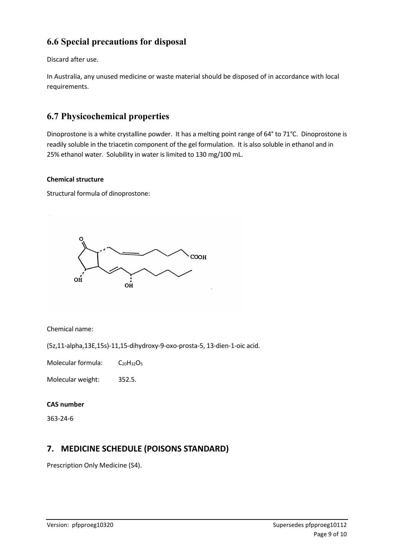# **6.6 Special precautions for disposal**

Discard after use.

In Australia, any unused medicine or waste material should be disposed of in accordance with local requirements.

# **6.7 Physicochemical properties**

Dinoprostone is a white crystalline powder. It has a melting point range of 64° to 71°C. Dinoprostone is readily soluble in the triacetin component of the gel formulation. It is also soluble in ethanol and in 25% ethanol water. Solubility in water is limited to 130 mg/100 mL.

#### **Chemical structure**

Structural formula of dinoprostone:



Chemical name:

(5z,11-alpha,13E,15s)-11,15-dihydroxy-9-oxo-prosta-5, 13-dien-1-oic acid.

Molecular formula:  $C_{20}H_{32}O_5$ 

Molecular weight: 352.5.

#### **CAS number**

363-24-6

# **7. MEDICINE SCHEDULE (POISONS STANDARD)**

Prescription Only Medicine (S4).